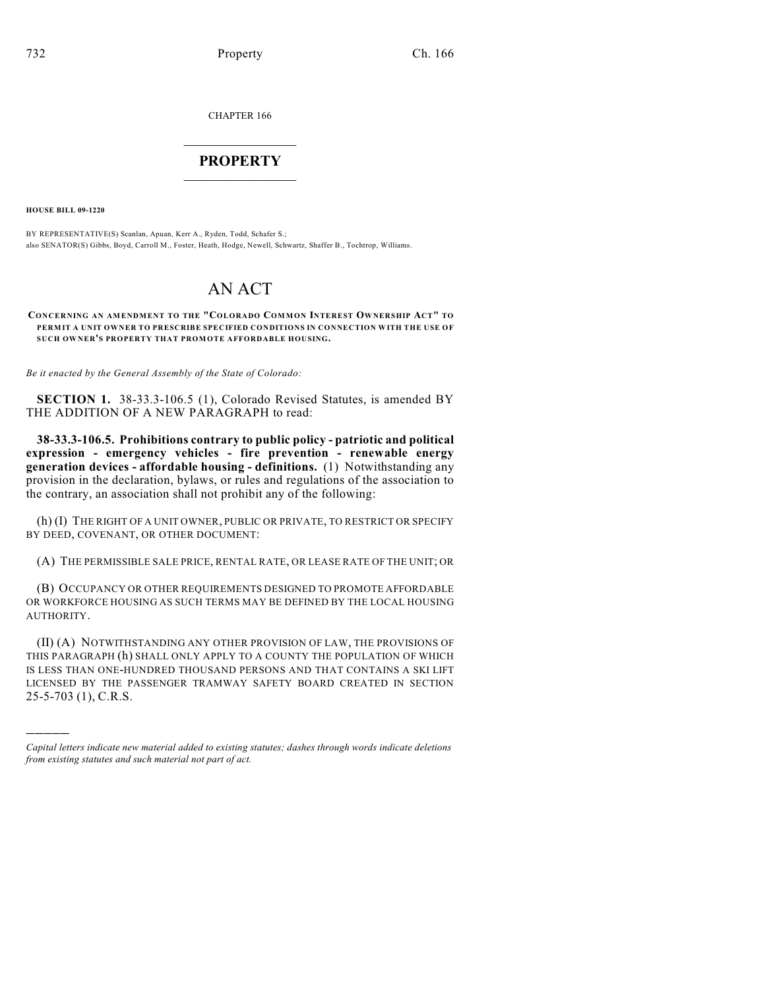CHAPTER 166

## $\overline{\phantom{a}}$  . The set of the set of the set of the set of the set of the set of the set of the set of the set of the set of the set of the set of the set of the set of the set of the set of the set of the set of the set o **PROPERTY**  $\_$   $\_$   $\_$   $\_$   $\_$   $\_$   $\_$   $\_$   $\_$

**HOUSE BILL 09-1220**

)))))

BY REPRESENTATIVE(S) Scanlan, Apuan, Kerr A., Ryden, Todd, Schafer S.; also SENATOR(S) Gibbs, Boyd, Carroll M., Foster, Heath, Hodge, Newell, Schwartz, Shaffer B., Tochtrop, Williams.

## AN ACT

**CONCERNING AN AMENDMENT TO THE "COLORADO COM MON INTEREST OWNERSHIP ACT" TO PERMIT A UNIT OWNER TO PRESCRIBE SPECIFIED CONDITIONS IN CONNECTION WITH THE USE OF SUCH OWNER'S PROPERTY THAT PROMOTE AFFORDABLE HOUSING.**

*Be it enacted by the General Assembly of the State of Colorado:*

**SECTION 1.** 38-33.3-106.5 (1), Colorado Revised Statutes, is amended BY THE ADDITION OF A NEW PARAGRAPH to read:

**38-33.3-106.5. Prohibitions contrary to public policy - patriotic and political expression - emergency vehicles - fire prevention - renewable energy generation devices - affordable housing - definitions.** (1) Notwithstanding any provision in the declaration, bylaws, or rules and regulations of the association to the contrary, an association shall not prohibit any of the following:

(h) (I) THE RIGHT OF A UNIT OWNER, PUBLIC OR PRIVATE, TO RESTRICT OR SPECIFY BY DEED, COVENANT, OR OTHER DOCUMENT:

(A) THE PERMISSIBLE SALE PRICE, RENTAL RATE, OR LEASE RATE OF THE UNIT; OR

(B) OCCUPANCY OR OTHER REQUIREMENTS DESIGNED TO PROMOTE AFFORDABLE OR WORKFORCE HOUSING AS SUCH TERMS MAY BE DEFINED BY THE LOCAL HOUSING AUTHORITY.

(II) (A) NOTWITHSTANDING ANY OTHER PROVISION OF LAW, THE PROVISIONS OF THIS PARAGRAPH (h) SHALL ONLY APPLY TO A COUNTY THE POPULATION OF WHICH IS LESS THAN ONE-HUNDRED THOUSAND PERSONS AND THAT CONTAINS A SKI LIFT LICENSED BY THE PASSENGER TRAMWAY SAFETY BOARD CREATED IN SECTION 25-5-703 (1), C.R.S.

*Capital letters indicate new material added to existing statutes; dashes through words indicate deletions from existing statutes and such material not part of act.*